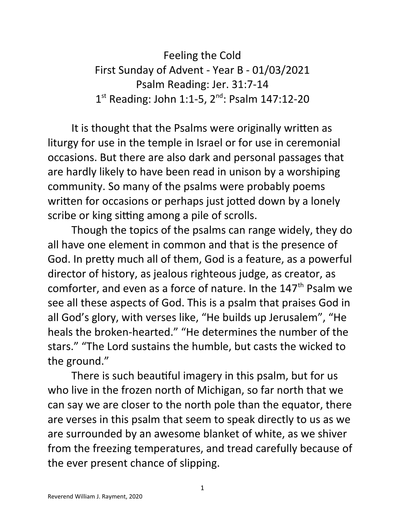Feeling the Cold First Sunday of Advent - Year B - 01/03/2021 Psalm Reading: Jer. 31:7-14 1<sup>st</sup> Reading: John 1:1-5, 2<sup>nd</sup>: Psalm 147:12-20

It is thought that the Psalms were originally written as liturgy for use in the temple in Israel or for use in ceremonial occasions. But there are also dark and personal passages that are hardly likely to have been read in unison by a worshiping community. So many of the psalms were probably poems written for occasions or perhaps just jotted down by a lonely scribe or king sitting among a pile of scrolls.

Though the topics of the psalms can range widely, they do all have one element in common and that is the presence of God. In pretty much all of them, God is a feature, as a powerful director of history, as jealous righteous judge, as creator, as comforter, and even as a force of nature. In the 147<sup>th</sup> Psalm we see all these aspects of God. This is a psalm that praises God in all God's glory, with verses like, "He builds up Jerusalem", "He heals the broken-hearted." "He determines the number of the stars." "The Lord sustains the humble, but casts the wicked to the ground."

There is such beautiful imagery in this psalm, but for us who live in the frozen north of Michigan, so far north that we can say we are closer to the north pole than the equator, there are verses in this psalm that seem to speak directly to us as we are surrounded by an awesome blanket of white, as we shiver from the freezing temperatures, and tread carefully because of the ever present chance of slipping.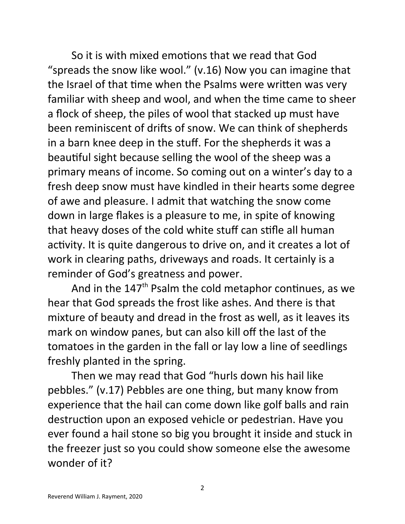So it is with mixed emotions that we read that God "spreads the snow like wool." (v.16) Now you can imagine that the Israel of that time when the Psalms were written was very familiar with sheep and wool, and when the time came to sheer a flock of sheep, the piles of wool that stacked up must have been reminiscent of drifts of snow. We can think of shepherds in a barn knee deep in the stuff. For the shepherds it was a beautiful sight because selling the wool of the sheep was a primary means of income. So coming out on a winter's day to a fresh deep snow must have kindled in their hearts some degree of awe and pleasure. I admit that watching the snow come down in large flakes is a pleasure to me, in spite of knowing that heavy doses of the cold white stuff can stifle all human activity. It is quite dangerous to drive on, and it creates a lot of work in clearing paths, driveways and roads. It certainly is a reminder of God's greatness and power.

And in the  $147<sup>th</sup>$  Psalm the cold metaphor continues, as we hear that God spreads the frost like ashes. And there is that mixture of beauty and dread in the frost as well, as it leaves its mark on window panes, but can also kill off the last of the tomatoes in the garden in the fall or lay low a line of seedlings freshly planted in the spring.

Then we may read that God "hurls down his hail like pebbles." (v.17) Pebbles are one thing, but many know from experience that the hail can come down like golf balls and rain destruction upon an exposed vehicle or pedestrian. Have you ever found a hail stone so big you brought it inside and stuck in the freezer just so you could show someone else the awesome wonder of it?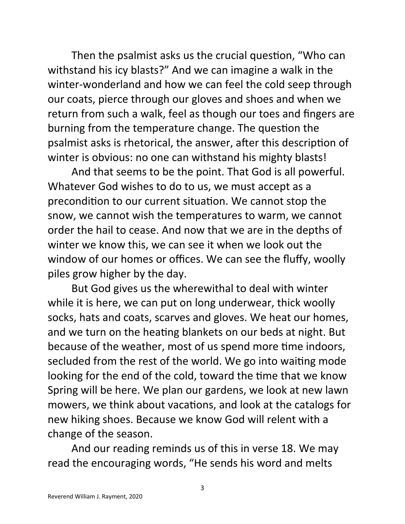Then the psalmist asks us the crucial question, "Who can withstand his icy blasts?" And we can imagine a walk in the winter-wonderland and how we can feel the cold seep through our coats, pierce through our gloves and shoes and when we return from such a walk, feel as though our toes and fingers are burning from the temperature change. The question the psalmist asks is rhetorical, the answer, after this description of winter is obvious: no one can withstand his mighty blasts!

And that seems to be the point. That God is all powerful. Whatever God wishes to do to us, we must accept as a precondition to our current situation. We cannot stop the snow, we cannot wish the temperatures to warm, we cannot order the hail to cease. And now that we are in the depths of winter we know this, we can see it when we look out the window of our homes or offices. We can see the fluffy, woolly piles grow higher by the day.

But God gives us the wherewithal to deal with winter while it is here, we can put on long underwear, thick woolly socks, hats and coats, scarves and gloves. We heat our homes, and we turn on the heating blankets on our beds at night. But because of the weather, most of us spend more time indoors, secluded from the rest of the world. We go into waiting mode looking for the end of the cold, toward the time that we know Spring will be here. We plan our gardens, we look at new lawn mowers, we think about vacations, and look at the catalogs for new hiking shoes. Because we know God will relent with a change of the season.

And our reading reminds us of this in verse 18. We may read the encouraging words, "He sends his word and melts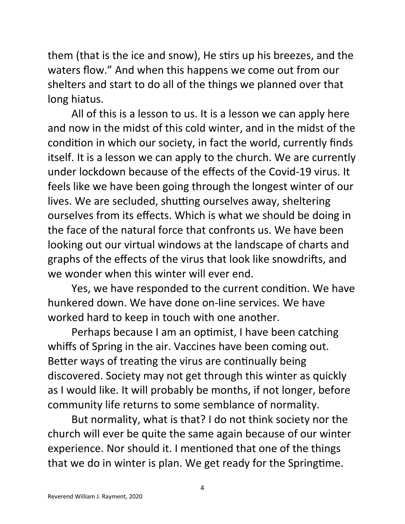them (that is the ice and snow), He stirs up his breezes, and the waters flow." And when this happens we come out from our shelters and start to do all of the things we planned over that long hiatus.

All of this is a lesson to us. It is a lesson we can apply here and now in the midst of this cold winter, and in the midst of the condition in which our society, in fact the world, currently finds itself. It is a lesson we can apply to the church. We are currently under lockdown because of the effects of the Covid-19 virus. It feels like we have been going through the longest winter of our lives. We are secluded, shutting ourselves away, sheltering ourselves from its effects. Which is what we should be doing in the face of the natural force that confronts us. We have been looking out our virtual windows at the landscape of charts and graphs of the effects of the virus that look like snowdrifts, and we wonder when this winter will ever end.

Yes, we have responded to the current condition. We have hunkered down. We have done on-line services. We have worked hard to keep in touch with one another.

Perhaps because I am an optimist, I have been catching whiffs of Spring in the air. Vaccines have been coming out. Better ways of treating the virus are continually being discovered. Society may not get through this winter as quickly as I would like. It will probably be months, if not longer, before community life returns to some semblance of normality.

But normality, what is that? I do not think society nor the church will ever be quite the same again because of our winter experience. Nor should it. I mentioned that one of the things that we do in winter is plan. We get ready for the Springtime.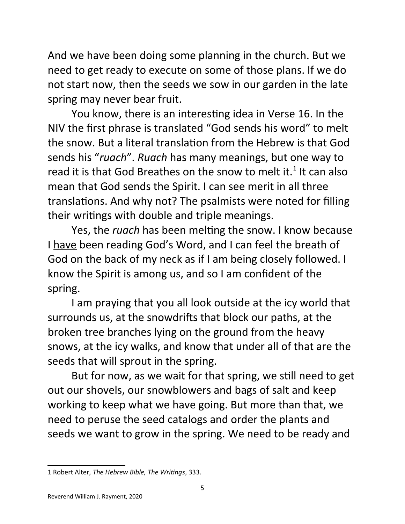And we have been doing some planning in the church. But we need to get ready to execute on some of those plans. If we do not start now, then the seeds we sow in our garden in the late spring may never bear fruit.

You know, there is an interesting idea in Verse 16. In the NIV the first phrase is translated "God sends his word" to melt the snow. But a literal translation from the Hebrew is that God sends his "*ruach*". *Ruach* has many meanings, but one way to read it is that God Breathes on the snow to melt it.<sup>[1](#page-4-0)</sup> It can also mean that God sends the Spirit. I can see merit in all three translations. And why not? The psalmists were noted for filling their writings with double and triple meanings.

Yes, the *ruach* has been melting the snow. I know because I have been reading God's Word, and I can feel the breath of God on the back of my neck as if I am being closely followed. I know the Spirit is among us, and so I am confident of the spring.

I am praying that you all look outside at the icy world that surrounds us, at the snowdrifts that block our paths, at the broken tree branches lying on the ground from the heavy snows, at the icy walks, and know that under all of that are the seeds that will sprout in the spring.

But for now, as we wait for that spring, we still need to get out our shovels, our snowblowers and bags of salt and keep working to keep what we have going. But more than that, we need to peruse the seed catalogs and order the plants and seeds we want to grow in the spring. We need to be ready and

<span id="page-4-0"></span><sup>1</sup> Robert Alter, *The Hebrew Bible, The Writings*, 333.